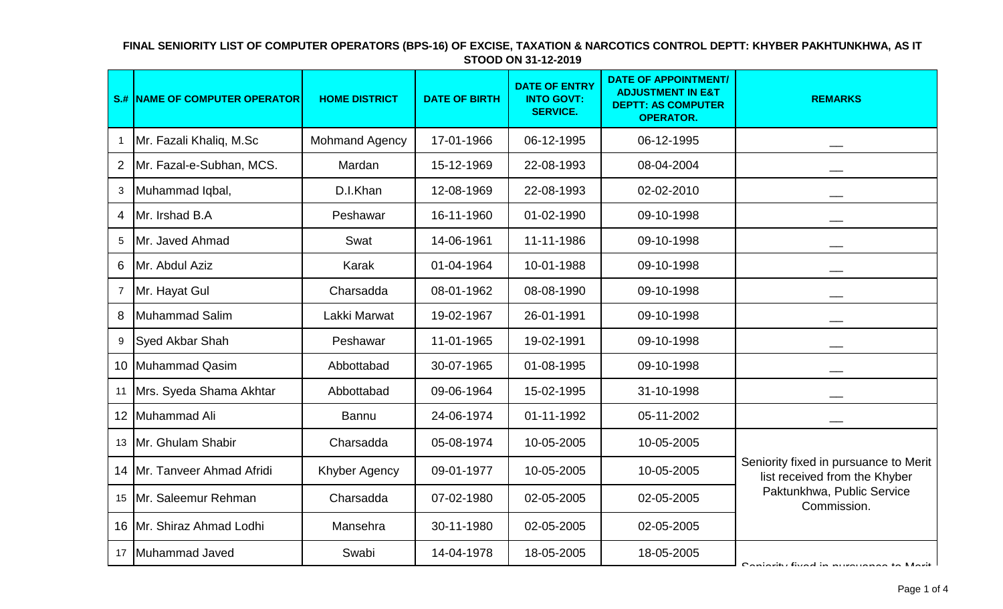|                  | <b>S.# NAME OF COMPUTER OPERATOR</b> | <b>HOME DISTRICT</b>  | <b>DATE OF BIRTH</b> | <b>DATE OF ENTRY</b><br><b>INTO GOVT:</b><br><b>SERVICE.</b> | <b>DATE OF APPOINTMENT/</b><br><b>ADJUSTMENT IN E&amp;T</b><br><b>DEPTT: AS COMPUTER</b><br><b>OPERATOR.</b> | <b>REMARKS</b>                                                                                                      |
|------------------|--------------------------------------|-----------------------|----------------------|--------------------------------------------------------------|--------------------------------------------------------------------------------------------------------------|---------------------------------------------------------------------------------------------------------------------|
| $\mathbf 1$      | Mr. Fazali Khaliq, M.Sc              | <b>Mohmand Agency</b> | 17-01-1966           | 06-12-1995                                                   | 06-12-1995                                                                                                   |                                                                                                                     |
| $\overline{2}$   | Mr. Fazal-e-Subhan, MCS.             | Mardan                | 15-12-1969           | 22-08-1993                                                   | 08-04-2004                                                                                                   |                                                                                                                     |
| 3                | Muhammad Iqbal,                      | D.I.Khan              | 12-08-1969           | 22-08-1993                                                   | 02-02-2010                                                                                                   |                                                                                                                     |
| 4                | Mr. Irshad B.A                       | Peshawar              | 16-11-1960           | 01-02-1990                                                   | 09-10-1998                                                                                                   |                                                                                                                     |
| 5                | Mr. Javed Ahmad                      | Swat                  | 14-06-1961           | 11-11-1986                                                   | 09-10-1998                                                                                                   |                                                                                                                     |
| 6                | Mr. Abdul Aziz                       | Karak                 | 01-04-1964           | 10-01-1988                                                   | 09-10-1998                                                                                                   |                                                                                                                     |
| $\overline{7}$   | Mr. Hayat Gul                        | Charsadda             | 08-01-1962           | 08-08-1990                                                   | 09-10-1998                                                                                                   |                                                                                                                     |
| 8                | Muhammad Salim                       | Lakki Marwat          | 19-02-1967           | 26-01-1991                                                   | 09-10-1998                                                                                                   |                                                                                                                     |
| 9                | Syed Akbar Shah                      | Peshawar              | 11-01-1965           | 19-02-1991                                                   | 09-10-1998                                                                                                   |                                                                                                                     |
| 10 <sup>1</sup>  | Muhammad Qasim                       | Abbottabad            | 30-07-1965           | 01-08-1995                                                   | 09-10-1998                                                                                                   |                                                                                                                     |
| 11               | Mrs. Syeda Shama Akhtar              | Abbottabad            | 09-06-1964           | 15-02-1995                                                   | 31-10-1998                                                                                                   |                                                                                                                     |
| 12               | Muhammad Ali                         | <b>Bannu</b>          | 24-06-1974           | 01-11-1992                                                   | 05-11-2002                                                                                                   |                                                                                                                     |
| 13               | Mr. Ghulam Shabir                    | Charsadda             | 05-08-1974           | 10-05-2005                                                   | 10-05-2005                                                                                                   |                                                                                                                     |
| 14               | Mr. Tanveer Ahmad Afridi             | Khyber Agency         | 09-01-1977           | 10-05-2005                                                   | 10-05-2005                                                                                                   | Seniority fixed in pursuance to Merit<br>list received from the Khyber<br>Paktunkhwa, Public Service<br>Commission. |
| 15 <sup>15</sup> | Mr. Saleemur Rehman                  | Charsadda             | 07-02-1980           | 02-05-2005                                                   | 02-05-2005                                                                                                   |                                                                                                                     |
|                  | 16 Mr. Shiraz Ahmad Lodhi            | Mansehra              | 30-11-1980           | 02-05-2005                                                   | 02-05-2005                                                                                                   |                                                                                                                     |
| 17               | Muhammad Javed                       | Swabi                 | 14-04-1978           | 18-05-2005                                                   | 18-05-2005                                                                                                   | Contains fived in numional to Morit                                                                                 |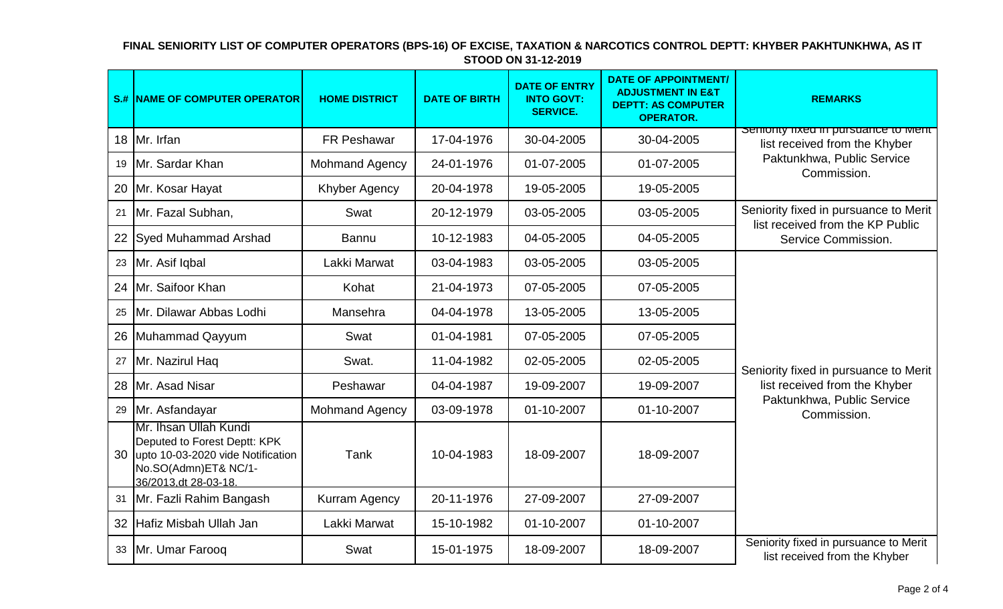|    | <b>S.# NAME OF COMPUTER OPERATOR</b>                                                                                                       | <b>HOME DISTRICT</b>  | <b>DATE OF BIRTH</b> | <b>DATE OF ENTRY</b><br><b>INTO GOVT:</b><br><b>SERVICE.</b> | <b>DATE OF APPOINTMENT/</b><br><b>ADJUSTMENT IN E&amp;T</b><br><b>DEPTT: AS COMPUTER</b><br><b>OPERATOR.</b> | <b>REMARKS</b>                                                                                                      |
|----|--------------------------------------------------------------------------------------------------------------------------------------------|-----------------------|----------------------|--------------------------------------------------------------|--------------------------------------------------------------------------------------------------------------|---------------------------------------------------------------------------------------------------------------------|
|    | 18 Mr. Irfan                                                                                                                               | <b>FR Peshawar</b>    | 17-04-1976           | 30-04-2005                                                   | 30-04-2005                                                                                                   | Semonty fixed in pursuance to ment<br>list received from the Khyber                                                 |
| 19 | Mr. Sardar Khan                                                                                                                            | <b>Mohmand Agency</b> | 24-01-1976           | 01-07-2005                                                   | 01-07-2005                                                                                                   | Paktunkhwa, Public Service<br>Commission.                                                                           |
| 20 | Mr. Kosar Hayat                                                                                                                            | <b>Khyber Agency</b>  | 20-04-1978           | 19-05-2005                                                   | 19-05-2005                                                                                                   |                                                                                                                     |
| 21 | Mr. Fazal Subhan,                                                                                                                          | Swat                  | 20-12-1979           | 03-05-2005                                                   | 03-05-2005                                                                                                   | Seniority fixed in pursuance to Merit<br>list received from the KP Public<br>Service Commission.                    |
| 22 | Syed Muhammad Arshad                                                                                                                       | <b>Bannu</b>          | 10-12-1983           | 04-05-2005                                                   | 04-05-2005                                                                                                   |                                                                                                                     |
| 23 | Mr. Asif Iqbal                                                                                                                             | Lakki Marwat          | 03-04-1983           | 03-05-2005                                                   | 03-05-2005                                                                                                   | Seniority fixed in pursuance to Merit<br>list received from the Khyber<br>Paktunkhwa, Public Service<br>Commission. |
| 24 | Mr. Saifoor Khan                                                                                                                           | Kohat                 | 21-04-1973           | 07-05-2005                                                   | 07-05-2005                                                                                                   |                                                                                                                     |
| 25 | Mr. Dilawar Abbas Lodhi                                                                                                                    | Mansehra              | 04-04-1978           | 13-05-2005                                                   | 13-05-2005                                                                                                   |                                                                                                                     |
| 26 | Muhammad Qayyum                                                                                                                            | Swat                  | 01-04-1981           | 07-05-2005                                                   | 07-05-2005                                                                                                   |                                                                                                                     |
| 27 | Mr. Nazirul Haq                                                                                                                            | Swat.                 | 11-04-1982           | 02-05-2005                                                   | 02-05-2005                                                                                                   |                                                                                                                     |
| 28 | Mr. Asad Nisar                                                                                                                             | Peshawar              | 04-04-1987           | 19-09-2007                                                   | 19-09-2007                                                                                                   |                                                                                                                     |
| 29 | Mr. Asfandayar                                                                                                                             | <b>Mohmand Agency</b> | 03-09-1978           | 01-10-2007                                                   | 01-10-2007                                                                                                   |                                                                                                                     |
| 30 | Mr. Ihsan Ullah Kundi<br>Deputed to Forest Deptt: KPK<br>upto 10-03-2020 vide Notification<br>No.SO(Admn)ET& NC/1-<br>36/2013.dt 28-03-18. | Tank                  | 10-04-1983           | 18-09-2007                                                   | 18-09-2007                                                                                                   |                                                                                                                     |
| 31 | Mr. Fazli Rahim Bangash                                                                                                                    | Kurram Agency         | 20-11-1976           | 27-09-2007                                                   | 27-09-2007                                                                                                   |                                                                                                                     |
| 32 | Hafiz Misbah Ullah Jan                                                                                                                     | Lakki Marwat          | 15-10-1982           | 01-10-2007                                                   | 01-10-2007                                                                                                   |                                                                                                                     |
|    | 33 Mr. Umar Farooq                                                                                                                         | Swat                  | 15-01-1975           | 18-09-2007                                                   | 18-09-2007                                                                                                   | Seniority fixed in pursuance to Merit<br>list received from the Khyber                                              |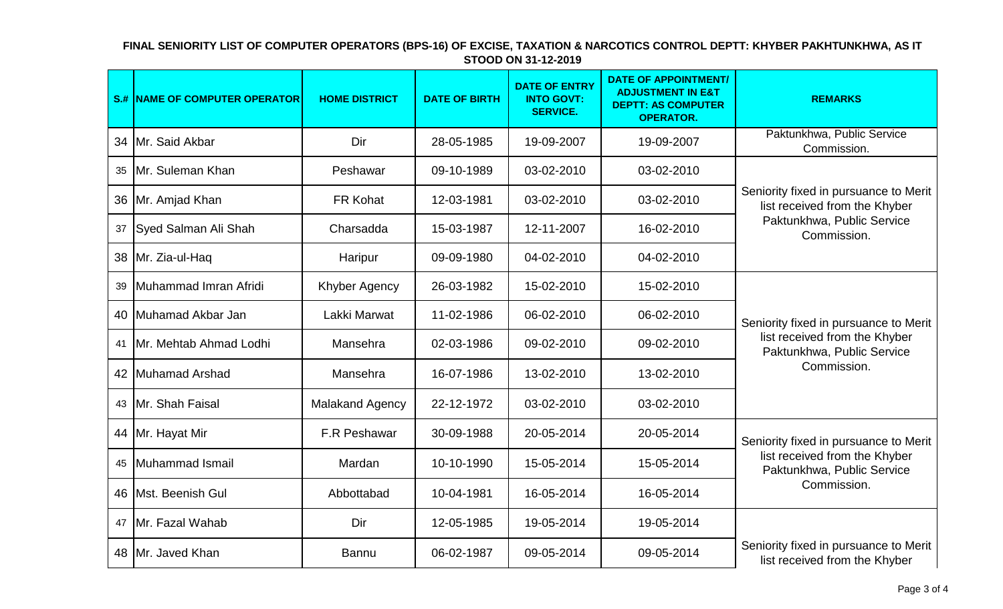|    | <b>S.# NAME OF COMPUTER OPERATOR</b> | <b>HOME DISTRICT</b>   | <b>DATE OF BIRTH</b> | <b>DATE OF ENTRY</b><br><b>INTO GOVT:</b><br><b>SERVICE.</b> | <b>DATE OF APPOINTMENT/</b><br><b>ADJUSTMENT IN E&amp;T</b><br><b>DEPTT: AS COMPUTER</b><br><b>OPERATOR.</b> | <b>REMARKS</b>                                                                                                      |
|----|--------------------------------------|------------------------|----------------------|--------------------------------------------------------------|--------------------------------------------------------------------------------------------------------------|---------------------------------------------------------------------------------------------------------------------|
|    | 34 Mr. Said Akbar                    | Dir                    | 28-05-1985           | 19-09-2007                                                   | 19-09-2007                                                                                                   | Paktunkhwa, Public Service<br>Commission.                                                                           |
|    | 35 Mr. Suleman Khan                  | Peshawar               | 09-10-1989           | 03-02-2010                                                   | 03-02-2010                                                                                                   |                                                                                                                     |
|    | 36 Mr. Amjad Khan                    | FR Kohat               | 12-03-1981           | 03-02-2010                                                   | 03-02-2010                                                                                                   | Seniority fixed in pursuance to Merit<br>list received from the Khyber<br>Paktunkhwa, Public Service<br>Commission. |
|    | 37 Syed Salman Ali Shah              | Charsadda              | 15-03-1987           | 12-11-2007                                                   | 16-02-2010                                                                                                   |                                                                                                                     |
|    | 38 Mr. Zia-ul-Haq                    | Haripur                | 09-09-1980           | 04-02-2010                                                   | 04-02-2010                                                                                                   |                                                                                                                     |
| 39 | Muhammad Imran Afridi                | Khyber Agency          | 26-03-1982           | 15-02-2010                                                   | 15-02-2010                                                                                                   | Seniority fixed in pursuance to Merit<br>list received from the Khyber<br>Paktunkhwa, Public Service<br>Commission. |
|    | 40 Muhamad Akbar Jan                 | Lakki Marwat           | 11-02-1986           | 06-02-2010                                                   | 06-02-2010                                                                                                   |                                                                                                                     |
|    | 41 Mr. Mehtab Ahmad Lodhi            | Mansehra               | 02-03-1986           | 09-02-2010                                                   | 09-02-2010                                                                                                   |                                                                                                                     |
|    | 42 Muhamad Arshad                    | Mansehra               | 16-07-1986           | 13-02-2010                                                   | 13-02-2010                                                                                                   |                                                                                                                     |
|    | 43 Mr. Shah Faisal                   | <b>Malakand Agency</b> | 22-12-1972           | 03-02-2010                                                   | 03-02-2010                                                                                                   |                                                                                                                     |
|    | 44   Mr. Hayat Mir                   | F.R Peshawar           | 30-09-1988           | 20-05-2014                                                   | 20-05-2014                                                                                                   | Seniority fixed in pursuance to Merit                                                                               |
|    | 45 Muhammad Ismail                   | Mardan                 | 10-10-1990           | 15-05-2014                                                   | 15-05-2014                                                                                                   | list received from the Khyber<br>Paktunkhwa, Public Service<br>Commission.                                          |
|    | 46   Mst. Beenish Gul                | Abbottabad             | 10-04-1981           | 16-05-2014                                                   | 16-05-2014                                                                                                   |                                                                                                                     |
|    | 47 Mr. Fazal Wahab                   | Dir                    | 12-05-1985           | 19-05-2014                                                   | 19-05-2014                                                                                                   |                                                                                                                     |
|    | 48 Mr. Javed Khan                    | <b>Bannu</b>           | 06-02-1987           | 09-05-2014                                                   | 09-05-2014                                                                                                   | Seniority fixed in pursuance to Merit<br>list received from the Khyber                                              |